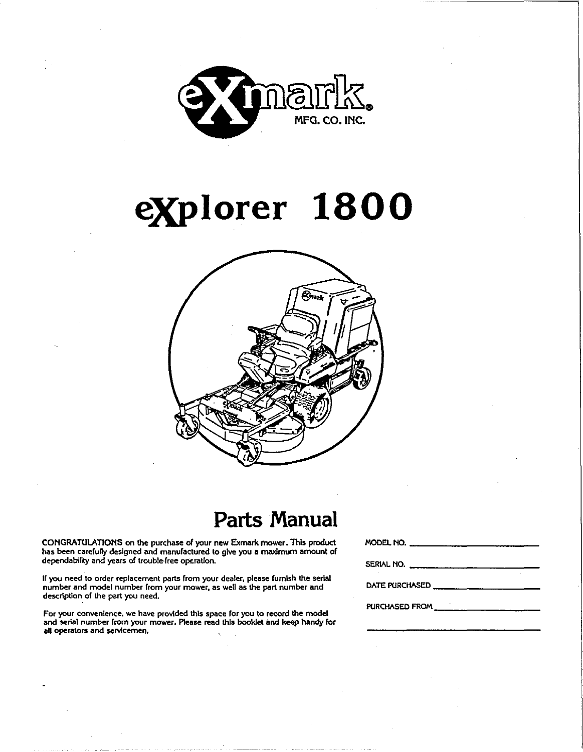

# **eXPlorer 1800**



# **Parts Manual**

CONGRATULATIONS on the purchase of your new Exmark mower. This product **has been carefully designed and manufactured to give you a maximum amount of**  dependability and years of trouble free operation.

**lr you need to order replacement parts from your dealer, please furnish the serial**  number and model number from your mower, as well as the part number and description of the part you need.

**For your convenience. we have provided this space for you to record the model**  and serial number from your mower. Please read this booklet and keep handy for **all operators and seMcemen.** 

| MODEL NO.                     |  |
|-------------------------------|--|
| SERIAL NO.                    |  |
| DATE PURCHASED ______________ |  |
|                               |  |
|                               |  |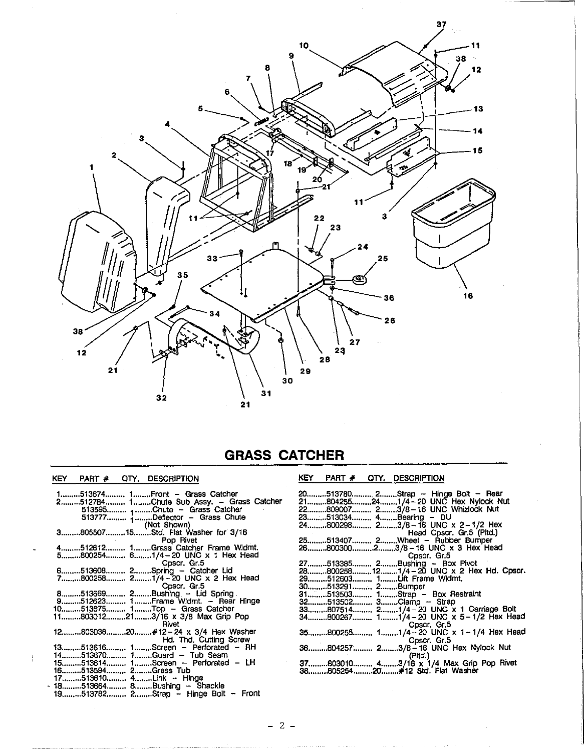

# **GRASS CATCHER**

#### KEY PART # QTY. DESCRIPTION

 $\mathcal{O}(\frac{1}{2})$ 

| 1513674 1Front - Grass Catcher                                      |  |
|---------------------------------------------------------------------|--|
| 2512784 1Chute Sub Assy. - Grass Catcher                            |  |
| 513595 1Chute - Grass Catcher                                       |  |
| 513777 {Deflector - Grass Chute                                     |  |
| (Not Shown)                                                         |  |
| 380550715Std. Flat Washer for 3/16                                  |  |
| Pop Rivet                                                           |  |
| 4512612 1Grass Catcher Frame Widmt.                                 |  |
| 5800254 61/4-20 UNC x 1 Hex Head                                    |  |
| Cpscr. Gr.5                                                         |  |
|                                                                     |  |
| 6513608 2Spring - Catcher Lid<br>7800258 21/4 - 20 UNC x 2 Hex Head |  |
| Coscr. Gr.5                                                         |  |
|                                                                     |  |
| 8513669 2Bushing - Lid Spring                                       |  |
| 9512623 1Frame Widmt. - Rear Hinge                                  |  |
| 10513675 1Top - Grass Catcher                                       |  |
| 11803012213/16 x 3/8 Max Grip Pop                                   |  |
| Rivet                                                               |  |
| 1280303620#12 - 24 x 3/4 Hex Washer                                 |  |
| Hd. Thd. Cutting Screw                                              |  |
| 13513616 1Screen - Perforated - RH                                  |  |
| 14513670 1Guard - Tub Seam                                          |  |
| 15513614 1Screen - Perforated - LH                                  |  |
| 16513594 2Grass Tub                                                 |  |
| 17513610 4Link - Hinge                                              |  |
| - 18513664 8Bushing - Shackle                                       |  |
|                                                                     |  |
| 19513782 2Strap - Hinge Bolt - Front                                |  |

# KEY PART # QTY. DESCRIPTION

| 20 |                                                                             |
|----|-----------------------------------------------------------------------------|
|    | 21804255241/4 - 20 UNC Hex Nylock Nut                                       |
|    | 22809007 23/8-16 UNC Whizlock Nut                                           |
|    | 23513034 4Bearing - DU                                                      |
|    | 24800298 23/8 - 16 UNC x 2 - 1/2 Hex                                        |
|    | Head Coscr. Gr.5 (Pltd.)                                                    |
|    | 25513407 2Wheel - Rubber Bumper                                             |
|    | 2680030023/8 - 16 UNC x 3 Hex Head                                          |
|    | Cpscr. Gr.5                                                                 |
|    |                                                                             |
|    | 27513385 2Bushing -- Box Pivot<br>28800258121/4 - 20 UNC x 2 Hex Hd. Cpscr. |
|    |                                                                             |
|    | 29512603 1Lift Frame Widmt.                                                 |
|    | 30513291 2Bumper                                                            |
|    | 31513503 1Strap - Box Restraint                                             |
|    | 32513502 3Clamp - Strap                                                     |
|    | 33807514 21/4-20 UNC x 1 Carriage Bolt                                      |
|    | 34800267 11/4 - 20 UNC x 5 - 1/2 Hex Head                                   |
|    | Cpscr. Gr.5                                                                 |
| 35 | 800255 11/4 - 20 UNC x 1 - 1/4 Hex Head                                     |
|    | Cpscr. Gr.5                                                                 |
| 36 | 804257 23/8 – 16 UNC Hex Nylock Nut                                         |
|    | (Pitd.)                                                                     |
|    | 37803010 43/16 x 1/4 Max Grip Pop Rivet                                     |
|    | 3880525420#12 Std. Flat Washer                                              |
|    |                                                                             |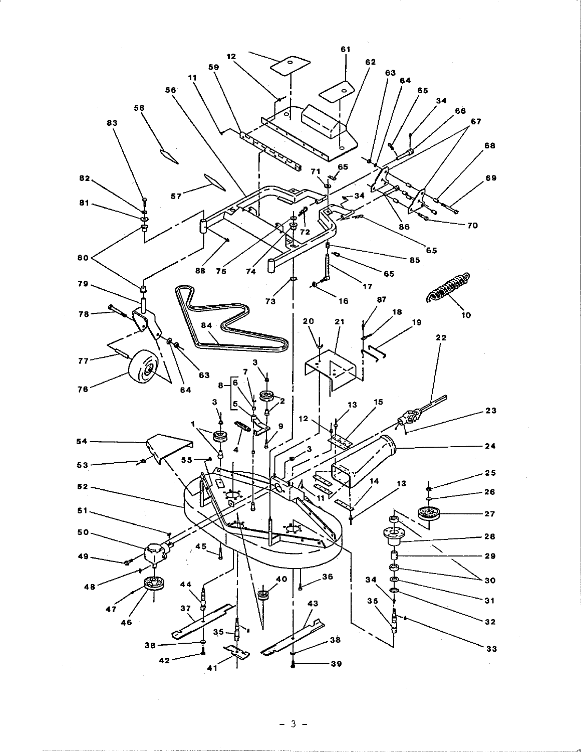

 $- 3 -$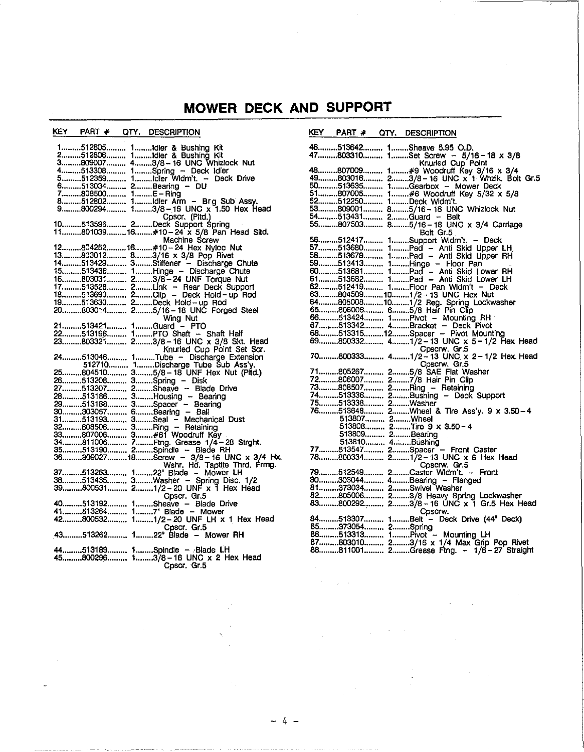# **MOWER DECK AND SUPPORT**

### KEY PART # QTY. DESCRIPTION KEY PART # OTY. DESCRIPTION

| 1512805 1Idler & Bushing Kit<br>2512806 1Idler & Bushing Kit<br>3809007 43/8 ~ 16 UNC Whizlock Nut<br>4513308 1Idler Widm't. ~ Dec |
|------------------------------------------------------------------------------------------------------------------------------------|
|                                                                                                                                    |
|                                                                                                                                    |
|                                                                                                                                    |
| 7808500 1E-Ring<br>8512802 1Idler Arm - Brg Sub Assy.<br>9800294 13/8-16 UNC x 1.50 Hex Head                                       |
|                                                                                                                                    |
| Cpscr. (Pitd.)                                                                                                                     |
| 105135962Deck Support Spring                                                                                                       |
|                                                                                                                                    |
| 1180103916#10-24 x 5/8 Pan Head Sitd.                                                                                              |
| Machine Screw                                                                                                                      |
| 1280425216#10-24 Hex Nyloc Nut                                                                                                     |
|                                                                                                                                    |
| 13803012 83/16 x 3/8 Pop Rivet                                                                                                     |
|                                                                                                                                    |
|                                                                                                                                    |
|                                                                                                                                    |
|                                                                                                                                    |
|                                                                                                                                    |
|                                                                                                                                    |
|                                                                                                                                    |
|                                                                                                                                    |
|                                                                                                                                    |
| Wing Nut                                                                                                                           |
| 21513421 1Guard - PTO<br>22513196 1PTO Shaft - Shaft Half                                                                          |
|                                                                                                                                    |
|                                                                                                                                    |
| 23803321 23/8 - 16 UNC x 3/8 Skt. Head                                                                                             |
|                                                                                                                                    |
| Knurled Cup Point Set Scr.<br>24513046 1Tube - Discharge Extension                                                                 |
|                                                                                                                                    |
|                                                                                                                                    |
|                                                                                                                                    |
|                                                                                                                                    |
|                                                                                                                                    |
|                                                                                                                                    |
| 28513186 3Housing - Bearing                                                                                                        |
| 29513188 3Spacer - Bearing<br>30303057 6Bearing - Ball                                                                             |
|                                                                                                                                    |
|                                                                                                                                    |
|                                                                                                                                    |
|                                                                                                                                    |
|                                                                                                                                    |
| 31513193 3Beal – Mechanical Dust<br>32808506 3Ring – Retaining<br>33807006 3#61 Woodruff Key<br>34811006 2                         |
|                                                                                                                                    |
|                                                                                                                                    |
|                                                                                                                                    |
|                                                                                                                                    |
| Wshr. Hd. Taptite Thrd. Frmg.<br>37513263 122" Blade - Mower LH                                                                    |
|                                                                                                                                    |
| 38513435 3Washer - Spring Disc. 1/2<br>39800531 21/2 - 20 UNF x 1 Hex Head                                                         |
|                                                                                                                                    |
|                                                                                                                                    |
| 40513192 1Sheave – Blade Drive<br>41513264 17" Blade – Mower<br>42800532 11/2 – 20 UNF LH x 1 Hex Head                             |
|                                                                                                                                    |
|                                                                                                                                    |
|                                                                                                                                    |
|                                                                                                                                    |
|                                                                                                                                    |
| Cpscr. Gr.5<br>43513262 122" Blade - Mower RH                                                                                      |
|                                                                                                                                    |
|                                                                                                                                    |
| 44513189 1Spindle - Blade LH<br>45800296 13/8 - 16 UNC x 2 Hex Head                                                                |
|                                                                                                                                    |
| Cpscr. Gr.5                                                                                                                        |
|                                                                                                                                    |

 $\bar{z}$ 

|                  | 46513642 1Sheave 5.95 O.D.                                                                                           |
|------------------|----------------------------------------------------------------------------------------------------------------------|
|                  | 47803310 1Set Screw - 5/16-18 x 3/8                                                                                  |
|                  | Knurled Cup Point                                                                                                    |
|                  | Knurled Cup Point<br>49807009 1#9 Woodruff Key 3/16 x 3/4                                                            |
|                  | 49803016 23/8 - 16 UNC x 1 Whzik. Bolt Gr.5                                                                          |
|                  |                                                                                                                      |
|                  | 50513635 1Gearbox - Mower Deck                                                                                       |
|                  |                                                                                                                      |
|                  |                                                                                                                      |
|                  |                                                                                                                      |
|                  |                                                                                                                      |
|                  | 55807503 85/16 - 18 UNC x 3/4 Carriage                                                                               |
|                  | Bolt Gr.5                                                                                                            |
|                  | <b>56512417</b> 1Support Widm't. -- Deck<br>Support Widm't. -- Deck                                                  |
|                  |                                                                                                                      |
|                  |                                                                                                                      |
|                  |                                                                                                                      |
|                  | 60513681 1Pad - Anti Skid Lower RH                                                                                   |
|                  |                                                                                                                      |
|                  | 61513682 1Pad - Anti Skid Lower LH                                                                                   |
|                  | 62512419 1Floor Pan Wldm't - Deck<br>63804509101/2-13 UNC Hex Nut                                                    |
|                  |                                                                                                                      |
|                  | 64805008101/2 Reg. Spring Lockwasher                                                                                 |
|                  | 65806006 65/8 Hair Pin Clip                                                                                          |
|                  | 66513424 1 Pivot - Mounting RH                                                                                       |
|                  | 67513342 4Bracket - Deck Pivot<br>6851331512Spacer - Pivot Mounting                                                  |
|                  |                                                                                                                      |
|                  | 69800332 41/2-13 UNC x 5-1/2 Hex Head                                                                                |
|                  | Cpscrw. Gr.5                                                                                                         |
|                  | Cpscrw. Gr.5<br>70800333  41/2 – 13  UNC  x  2 – 1/2  Hex. Head                                                      |
|                  |                                                                                                                      |
|                  |                                                                                                                      |
|                  |                                                                                                                      |
|                  | Cpscrw. Gr.5<br>71805267 25/8 SAE Flat Washer                                                                        |
|                  | 72806007 27/8 Hair Pin Clip                                                                                          |
|                  |                                                                                                                      |
|                  |                                                                                                                      |
|                  | 75513338 2Washer                                                                                                     |
|                  | 76513648 2Wheel & Tire Ass'y. 9 x 3.50 - 4                                                                           |
|                  |                                                                                                                      |
| 513807 2 Wheel   |                                                                                                                      |
|                  | 513808 2Tire 9 x 3.50 - 4                                                                                            |
|                  | 513809 2Bearing                                                                                                      |
|                  |                                                                                                                      |
|                  |                                                                                                                      |
|                  | 513810 4Bushing<br>77513547 2Spacer – Front Caster<br>78800334 21/2-13 UNC x 6 Hex Head                              |
|                  |                                                                                                                      |
|                  | Cpscrw. Gr.5<br>79512549 2Caster Widm't. -- Front                                                                    |
|                  |                                                                                                                      |
|                  | 80303044 4Bearing - Flanged<br>81373034 2Swivel Washer                                                               |
|                  |                                                                                                                      |
|                  | 82805006 23/8 Heavy Spring Lockwasher<br>83800292 23/8 - 16 UNC x 1 Gr.5 Hex Head                                    |
|                  |                                                                                                                      |
|                  |                                                                                                                      |
|                  | Cpscrw.<br>84513307 1Belt - Deck Drive (44" Deck)                                                                    |
| 85373054 2Spring |                                                                                                                      |
|                  |                                                                                                                      |
|                  | 86513313 1Pivot - Mounting LH<br>87803010 23/16 x 1/4 Max Grip Pop Rivet<br>88811001 2Grease Ftng. - 1/8-27 Straight |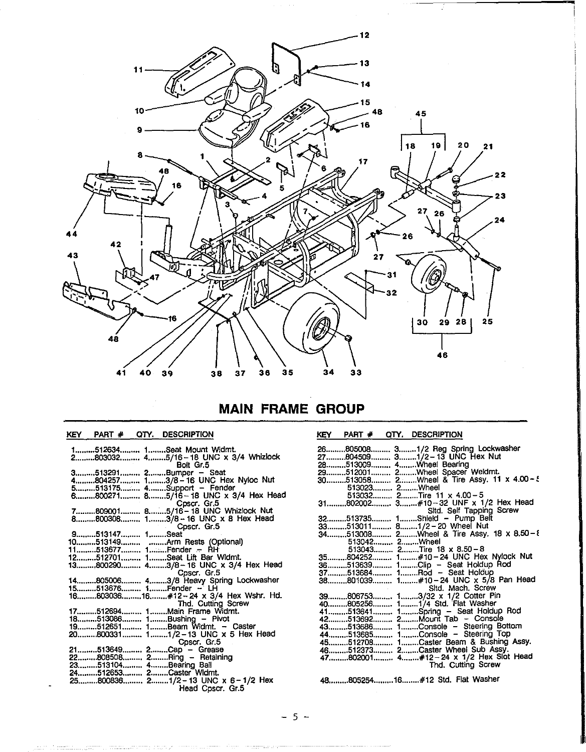

# **MAIN FRAME GROUP**

### KEY PART # OTY. DESCRIPTION KEY PART # QTY. DESCRIPTION

| 1512634 1Seat Mount Widmt.<br>2803032 45/16-18 UNC x 3/4 Whizlock<br>Bolt Gr.5 |
|--------------------------------------------------------------------------------|
| 3513291 2Bumper - Seat                                                         |
| 4804257 13/8-16 UNC Hex Nyloc Nut<br>5513175 4Support - Fender                 |
|                                                                                |
| 6800271 85/16-18 UNC x 3/4 Hex Head                                            |
| Cpscr. Gr.5                                                                    |
| Upsc. dr.3<br>7809001 85/16-18 UNC Whizlock Nut                                |
| 8800308 13/8 - 16 UNC x 8 Hex Head                                             |
| Cpscr. Gr.5                                                                    |
| 9513147 1Seat                                                                  |
| 10513149 Arm Rests (Optional)<br>11513677 1Fender - RH                         |
|                                                                                |
| 12512701 1Seat Lift Bar Widmt.                                                 |
| 13800290 43/8 - 16 UNC x 3/4 Hex Head                                          |
| Coscr. Gr.5                                                                    |
| 14805006 43/8 Heavy Spring Lockwasher                                          |
| 15513676 1Fender - LH                                                          |
| 1680303616#12-24 x 3/4 Hex Wshr. Hd.                                           |
| Thd. Cutting Screw                                                             |
| 17512694 1Main Frame Widmt.                                                    |
| 18513086 1Bushing - Pivot                                                      |
| 19512651 1Beam Widmt. - Caster                                                 |
| 20800331 11/2-13 UNC x 5 Hex Head                                              |
| Cosor. Gr.5                                                                    |
| 21513649 2Cap - Grease                                                         |
|                                                                                |
| 22808508 2Ring - Retaining<br>23513104 4Bearing Ball                           |
| 24512653 2Caster Widmt.                                                        |
| 25800836 21/2 – 13 UNC x 6 – 1/2 Hex                                           |
| Head Cpscr. Gr.5                                                               |

|               | 26805008 31/2 Reg Spring Lockwasher                                                                                         |
|---------------|-----------------------------------------------------------------------------------------------------------------------------|
|               | 27804509 31/2-13 UNC Hex Nut                                                                                                |
|               | 28513009 4Wheel Bearing                                                                                                     |
|               | 29512001 2Wheel Spacer Weldmt.                                                                                              |
|               | 30513058 2Wheel & Tire Assy. 11 x 4.00 - 5                                                                                  |
| 513023 2Wheel |                                                                                                                             |
|               | 513032 2Tire 11 x 4.00 - 5                                                                                                  |
|               | 31802002 3#10-32 UNF x 1/2 Hex Head                                                                                         |
|               | Sitd. Self Tapping Screw                                                                                                    |
|               |                                                                                                                             |
|               |                                                                                                                             |
|               | 32513735 1Shield – Pump Belt<br>33513011 81/2 – 20 Wheel Nut<br>34513008 2Wheel & Tire Assy. 18 x 8.50 – ε<br>513042 2Wheel |
|               |                                                                                                                             |
|               | 513043 2Tire 18 x 8.50 - 8                                                                                                  |
|               | 35804252 1#10-24 UNC Hex Nylock Nut                                                                                         |
|               | 36513639 1Clip - Seat Holdup Rod                                                                                            |
|               | 37513684 1Rod - Seat Holdup                                                                                                 |
|               | 38801039 1#10-24 UNC x 5/8 Pan Head                                                                                         |
|               | Sitd. Mach. Screw                                                                                                           |
|               | 39806753 13/32 x 1/2 Cotter Pin                                                                                             |
|               | 40805256 11/4 Std. Flat Washer                                                                                              |
|               | 41513641 1Spring - Seat Holdup Rod                                                                                          |
|               | 42513692 2Mount Tab - Console                                                                                               |
|               | 43513686 1Console - Steering Bottom                                                                                         |
|               | 44513685 1Console - Steering Top                                                                                            |
|               | 45512708 1Caster Beam & Bushing Assy.                                                                                       |
|               | 46512373 2Caster Wheel Sub Assy.                                                                                            |
|               | 47802001 4#12-24 x 1/2 Hex Slot Head                                                                                        |
|               | Thd. Cutting Screw                                                                                                          |
|               |                                                                                                                             |

48 ......... 805254 ......... 16 ........ #12 Std. Flat Washer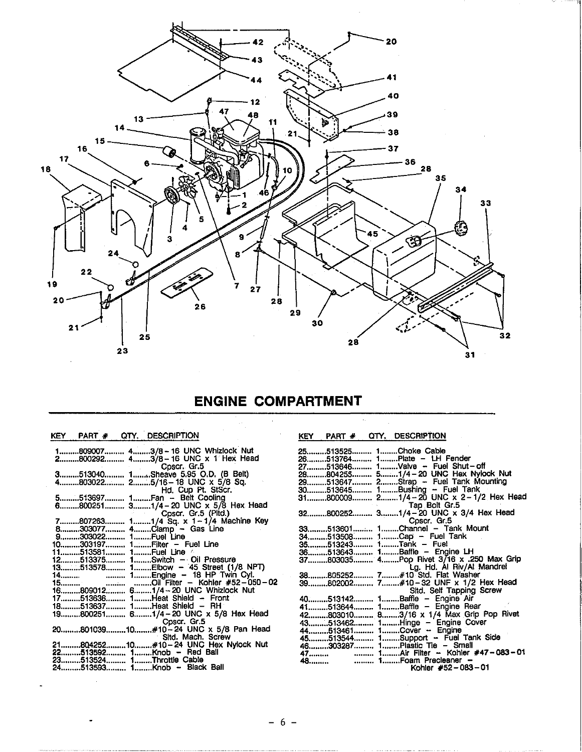

## **ENGINE COMPARTMENT**

#### KEY PART # QTY .. DESCRIPTION

 $\mathbb{Z}$ 

| 1809007 43/8 - 16 UNC Whizlock Nut<br>2800292 43/8 - 16 UNC x 1 Hex Head |
|--------------------------------------------------------------------------|
|                                                                          |
|                                                                          |
| Cpscr. Gr.5<br>3513040 1Sheave 5.95 O.D. (B Belt)                        |
| 4803022 25/16 - 18 UNC x 5/8 Sq.                                         |
| Hd. Cup Pt. StScr.                                                       |
| 5513697 1Fan - Belt Cooling                                              |
| 6800251 31/4 - 20 UNC x 5/8 Hex Head                                     |
| Coscr. Gr.5 (Pltd.)                                                      |
| 7807263 11/4 Sq. x 1-1/4 Machine Key                                     |
| 8303077 4Clamp - Gas Line                                                |
| 9303022 1Fuel Line                                                       |
| 10303197 1Filter - Fuel Line                                             |
| 11513581 1Fuel Line                                                      |
| 12513375 1Switch - Oil Pressure<br>13513578 1Elbow - 45 Street (1/8 NPT) |
|                                                                          |
|                                                                          |
|                                                                          |
|                                                                          |
| 17513636 1Heat Shield - Front                                            |
| 18513637 1Heat Shield - RH                                               |
| 19800251 61/4 - 20 UNC x 5/8 Hex Head                                    |
| Coscr. Gr.5                                                              |
| 2080103910#10-24 UNC x 5/8 Pan Head                                      |
| Sitd. Mach. Screw                                                        |
| 2180425210#10-24 UNC Hex Nylock Nut                                      |
| 22513592 1Knob - Red Ball                                                |
| 23513524 1Throttle Cable                                                 |
| 24513593 1Knob - Black Ball                                              |

#### KEY PART # OTY. DESCRIPTION

|  | 25513525 1Choke Cable                                                      |
|--|----------------------------------------------------------------------------|
|  | 26513764 1Plate - LH Fender                                                |
|  |                                                                            |
|  | 27513646 1Valve – Fuel Shut – off<br>28804255 51/4 – 20 UNC Hex Nylock Nut |
|  | 29513647 2Strap - Fuel Tank Mounting                                       |
|  | 30513645 1Bushing - Fuel Tank                                              |
|  | 31800009 21/4 - 20 UNC x 2 - 1/2 Hex Head                                  |
|  |                                                                            |
|  | Tap Bolt Gr.5<br>32800252 31/4 - 20 UNC x 3/4 Hex Head                     |
|  | Coscr. Gr.5                                                                |
|  | 33513601 1Channel - Tank Mount                                             |
|  | 34513508 1Cap - Fuel Tank                                                  |
|  |                                                                            |
|  | 35513243 1Tank - Fuel                                                      |
|  | 36513643 1Baffle - Engine LH                                               |
|  | 37803035 4Pop Rivet 3/16 x .250 Max Grip                                   |
|  | Lg. Hd. Al Riv/Al Mandrel                                                  |
|  | 38805252 7#10 Std. Flat Washer                                             |
|  | 39802002 7#10 – 32 UNF x 1/2 Hex Head                                      |
|  | Sitd. Self Tapping Screw                                                   |
|  | 40513142 1Baffle - Engine Air                                              |
|  | 41513644 1Baffle - Engine Rear                                             |
|  | 42803010 83/16 x 1/4 Max Grip Pop Rivet                                    |
|  | 43513462 1Hinge - Engine Cover                                             |
|  | 44513461 1Cover - Engine                                                   |
|  | 45513544 1Support - Fuel Tank Side<br>46303287 1Plastic Tie - Small        |
|  |                                                                            |
|  | 47  1Air Filter - Kohler #47-083-01                                        |
|  | 48  1Foam Precleaner -                                                     |
|  | Kohler $#52 - 083 - 01$                                                    |
|  |                                                                            |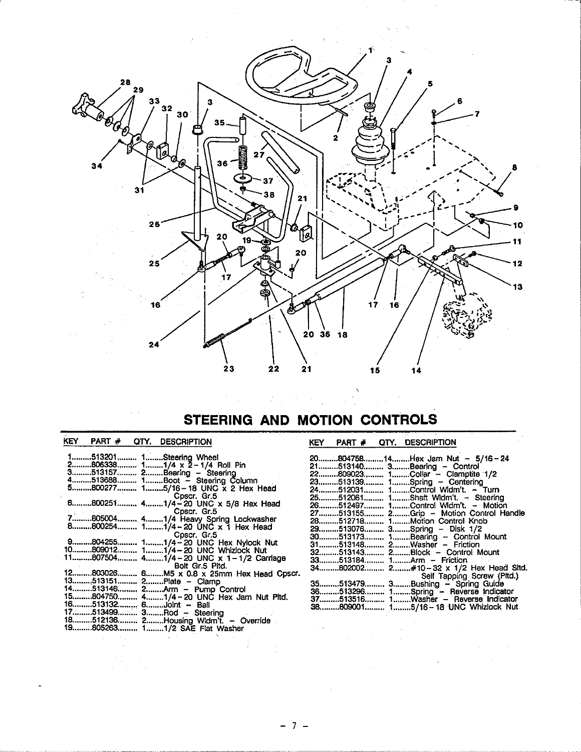

# **STEERING AND MOTION CONTROLS**

|  | KEY PART # QTY. DESCRIPTION                                                                                                                                                             |
|--|-----------------------------------------------------------------------------------------------------------------------------------------------------------------------------------------|
|  | 1513201 1Steering Wheel<br>2806338 11/4 x 2-1/4 Roll Pin<br>3513157 2Bearing - Steering Column<br>4513688 1Boot - Steering Column<br>5800277 15/16 - 18 UNC x 2 Hex Head<br>Cpscr. Gr.5 |
|  | 6800251 41/4-20 UNC x 5/8 Hex Head<br>Cpscr. Gr.5                                                                                                                                       |
|  | 7805004 41/4 Heavy Spring Lockwasher<br>8800254 11/4-20 UNC x 1 Hex Head<br>Cpscr. Gr.5                                                                                                 |
|  | g804255 11/4-20 UNC Hex Nylock Nut                                                                                                                                                      |
|  | 10809012 11/4-20 UNC Whizlock Nut<br>11807504 41/4-20 UNC x 1-1/2 Carriage<br>Bolt Gr.5 Pitd.                                                                                           |
|  | 12803026 6M5 x 0.8 x 25mm Hex Head Cpscr.<br>13513151 2Plate - Clamp                                                                                                                    |
|  | 14513146 2Arm - Pump Control<br>15804750 41/4-20 UNC Hex Jam Nut Pitd.                                                                                                                  |
|  | 16513132 6Joint - Ball<br>17513499 3Rod - Steering<br>18512136 2Housing Widm't - Override                                                                                               |
|  | 19805263 11/2 SAE Flat Washer                                                                                                                                                           |
|  |                                                                                                                                                                                         |
|  |                                                                                                                                                                                         |

#### KEY PART # QTY. DESCRIPTION

|  | 2080475814Hex Jam Nut - 5/16-24        |
|--|----------------------------------------|
|  | 21513140 3Bearing - Control            |
|  | 22809023 1Collar - Clamptite 1/2       |
|  | 23513139 1Spring - Centering           |
|  | 24512031 1Control Widm't. - Turn       |
|  | 25512061 1Shaft Wildm't. - Steering    |
|  | 26512497 1Control Widm't. - Motion     |
|  | 27513155 2Grip - Motion Control Handle |
|  | 28512718 1Motion Control Knob          |
|  | 29513076 3Spring - Disk 1/2            |
|  | 30513173 1Bearing - Control Mount      |
|  | 31513148 2Washer - Friction            |
|  | 32513143 2Block - Control Mount        |
|  | 33513184 1Arm - Friction               |
|  | 34802002 2#10-32 x 1/2 Hex Head Sitd.  |
|  | Self Tapping Screw (Pltd.)             |
|  | 35513479 3Bushing - Spring Guide       |
|  | 36513296 1Spring - Reverse Indicator   |
|  | 37513516 1Washer - Reverse Indicator   |
|  | 38809001 15/16 - 18 UNC Whizlock Nut   |
|  |                                        |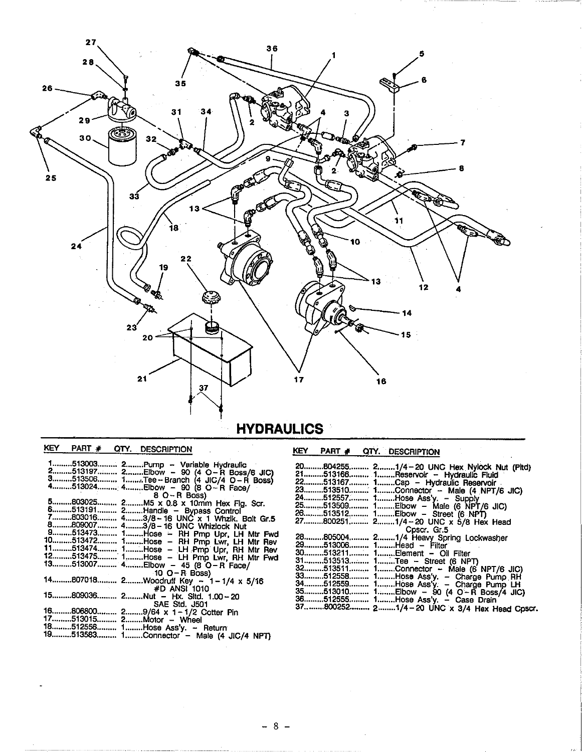

#### **HYDRAULICS**

# KEY PART # QTY. DESCRIPTION 1.........513003......... 2........Pump – Variable Hydraulic<br>2.........513197......... 2........Elbow – 90 (4 O – R Boss/6 JIC)<br>3.........513506......... 1........Tee – Branch (4 JIC/4 O – R Boss)<br>4.........513024......... <sup>8</sup>0- R Boss) 5 ..•••.... 803025 ...•.••.. 2 ........ M5 x 0.8 x 10mm Hex Fig. Scr. 6 .......•. 513191 ......... 2 ......•. Handle - Bypass Control 7 ..•.•••.. 803016 ......••• 4 ...•••.. 3/8 -16 UNC x 1 Whzlk. Bolt Gr.5 8 ....•... .809007 ..••..... 4 •..•.•.. 3/8-16 UNC Whizlock Nut 9 .........513473 ......... 1 ........Hose - RH Pmp Upr, LH Mtr Fwd 10 ...•••••. 513472 .•••....• 1 ...•..•. Hose - RH Pmp Lwr, LH Mtr Rev 11.........513474......... 1........Hose - LH Pmp Upr, RH Mtr Rev 12.........513475......... 1........Hose – LH Pmp Lwr, RH Mtr Fwd<br>13.........513007......... 4........Elbow – 45 (8 O−R Face/ <sup>10</sup>0- R· Boss) 14 ....•.... 807018 ..•••.... 2 ........ Woodruff Key - 1-1/4 x 5/16 #D ANSI 1010 15 ..•.•.... 809036 ...•••... 2 .•••••.. Nut - Hx. Slid. 1.00-20 SAE Std. J501<br>16.........806800......... 2........9/64 x 1 – 1/2 Cotter Pin<br>17.........513015......... 2........Motor – Wheel 18 ..•••••.. 512556 ...•••••. 1 ....•.•. Hose Ass'y. - Return 19 ... 513583 ... ... 1 ... ... Connector - Male (4 JIC/4 NPT)

#### KEY PART # QTY. DESCRIPTION

|  | 20804255 21/4-20 UNC Hex Nylock Nut (Pltd) |
|--|--------------------------------------------|
|  | 21513166 1Reservoir - Hydraulic Fluid      |
|  | 22513167 1Cap - Hydraulic Reservoir        |
|  | 23513510 1Connector - Male (4 NPT/6 JIC)   |
|  | 24512557 1Hose Ass'y. - Supply             |
|  | 25513509 1Elbow - Male (6 NPT/6 JIC)       |
|  | 26513512 1Elbow - Street (6 NPT)           |
|  | 27800251 21/4-20 UNC x 5/8 Hex Head        |
|  | Cpscr. Gr.5                                |
|  | 28805004 21/4 Heavy Spring Lockwasher      |
|  | 29513006 1Head - Filter                    |
|  | 30513211 1Element - Oil Filter             |
|  | 31513513 1Tee - Street (6 NPT)             |
|  | 32513511 1Connector - Male (6 NPT/6 JIC)   |
|  | 33512558 1Hose Ass'y. - Charge Pump RH     |
|  | 34512559 1Hose Ass'y. - Charge Pump LH     |
|  | 35513010 1Elbow - 90 (4 O - R Boss/4 JIC)  |
|  | 36512555 1Hose Ass'y. - Case Drain         |
|  | 37800252 21/4-20 UNC x 3/4 Hex Head Cpscr. |
|  |                                            |

---]IT ,, I ' I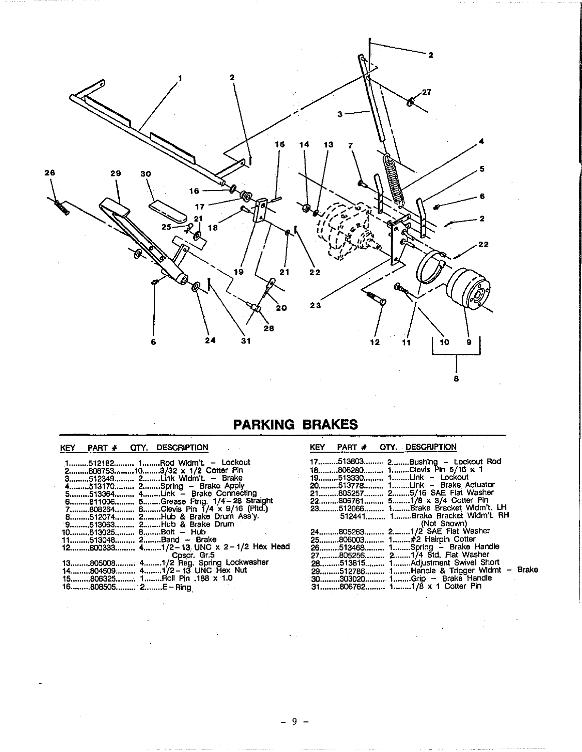

# **PARKING BRAKES**

| PART # QTY, DESCRIPTION                | PART # QTY, DESCRIPTION                  |
|----------------------------------------|------------------------------------------|
| KEY 1                                  | KEY                                      |
| 1512182 1Rod Widm't. - Lockout         | 17513803 2Bushing - Lockout Rod          |
| 2806753103/32 x 1/2 Cotter Pin         | 18808280 1Clevis Pin 5/16 x 1            |
| 3512349 2Link Widm't. - Brake          | 19513330 1Link - Lockout                 |
| 4513170 2Spring - Brake Apply          | 20513778 1Link - Brake Actuator          |
| 5513364 4Link - Brake Connecting       | 21805257 25/16 SAE Flat Washer           |
| 6811006 5Grease Ftng. 1/4-28 Straight  | 22806761 51/8 x 3/4 Cotter Pin           |
| 7808264 6Clevis Pin 1/4 x 9/16 (Pltd.) | 23512066 1Brake Bracket Widm't, LH       |
| 8512074 2Hub & Brake Drum Ass'y.       | 512441 1 Brake Bracket Widm't. RH        |
| 9513063 2Hub & Brake Drum              | (Not Shown)                              |
| $10$ 513025 8Bolt - Hub                | 24805263 2 1/2 SAE Flat Washer           |
| 11513048 2Band - Brake                 | 25806003 1#2 Hairpin Cotter              |
| 12800333 41/2-13 UNC x 2-1/2 Hex Head  | 26513468 1Spring - Brake Handle          |
| Coscr. Gr.5                            | 27805256 21/4 Std. Flat Washer           |
| 13805008 41/2 Reg. Spring Lockwasher   | 28513815 1 Adjustment Swivel Short       |
| 14804509 41/2 - 13 UNC Hex Nut         | 29512786 1Handle & Trigger Widmt - Brake |
| 15806325 1Roll Pin .188 x 1.0          | :30303020 1Grip - Brake Handle           |
| 16808505E - Ring                       | 31806762 11/8 x 1 Cotter Pin             |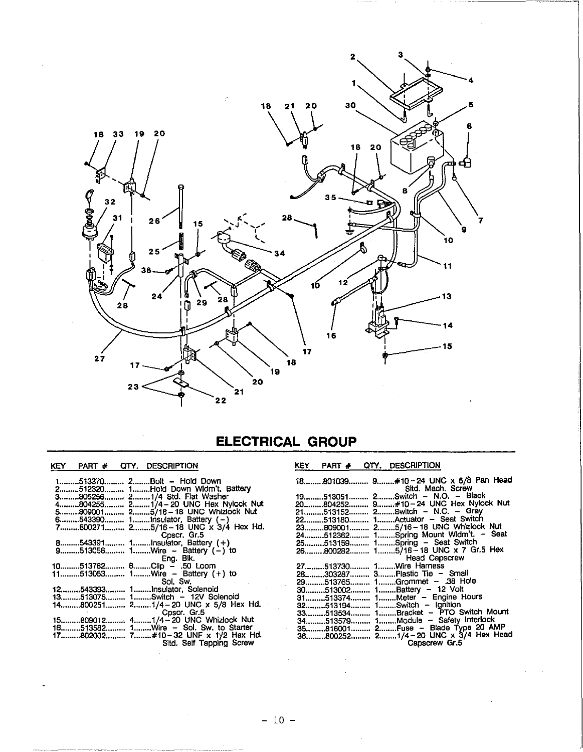

# **ELECTRICAL GROUP**

#### KEY PART # QTY. DESCRIPTION

| 1513370 2Bolt - Hold Down             |
|---------------------------------------|
| 2512320 1Hold Down Widm't. Battery    |
| 3805256 21/4 Std. Flat Washer         |
| 4804255 21/4-20 UNC Hex Nylock Nut    |
| 5809001 25/16 - 18 UNC Whizlock Nut   |
| 6543390 1Insulator, Battery (-)       |
| 7800271 25/16 - 18 UNC x 3/4 Hex Hd.  |
| Coscr. Gr.5                           |
| 8543391 1Insulator, Battery (+)       |
| 9513056 1Wire - Battery $(-)$ to      |
| Eng. Blk.                             |
| 10513762 8Clip - .50 Loom             |
| 11513053 1Wire - Battery $(+)$ to     |
| Sol. Sw.                              |
| 12543393 1Insulator, Solenoid         |
| 13513075 1Switch - 12V Solenoid       |
| 14800251 21/4-20 UNC x 5/8 Hex Hd.    |
| Cpscr. Gr.5                           |
| 15809012 41/4 - 20 UNC Whizlock Nut   |
| 16513582 1 Wire - Sol. Sw. to Starter |
| 17802002 7#10 - 32 UNF x 1/2 Hex Hd.  |
| Sitd. Self Tapping Screw              |
|                                       |

|                        | 18801039 9#10-24 UNC x 5/8 Pan Head                                    |
|------------------------|------------------------------------------------------------------------|
|                        | Sitd. Mach. Screw                                                      |
|                        | 19513051 2Switch - N.O. - Black                                        |
|                        | 20804252 9#10-24 UNC Hex Nylock Nut                                    |
|                        | 21513152 2Switch - N.C. - Gray                                         |
|                        | 22513180 1Actuator - Seat Switch                                       |
|                        | 23809001 25/16-18 UNC Whizlock Nut                                     |
|                        | 24512362 1Spring Mount Widm't. - Seat                                  |
|                        | 25513159 1Spring - Seat Switch<br>26800282 15/16 - 18 UNC x 7 Gr.5 Hex |
|                        |                                                                        |
|                        | <b>Head Capscrew</b>                                                   |
| 27513730 1Wire Harness |                                                                        |
|                        | 28303287 3Plastic Tie - Small                                          |
|                        | 29513765 1Grommet - .38 Hole                                           |
|                        | 30513002 1Battery - 12 Volt                                            |
|                        | 31513374 1Meter - Engine Hours                                         |
|                        | 32513194 1Switch - Ignition                                            |
|                        | 33513534 1Bracket - PTO Switch Mount                                   |
|                        | 34513579 1Module - Safety Interlock                                    |
|                        | 35816001 2Fuse - Blade Type 20 AMP                                     |
|                        | 36800252 21/4-20 UNC x 3/4 Hex Head                                    |
|                        | Capscrew Gr.5                                                          |

KEY PART # QTY. DESCRIPTION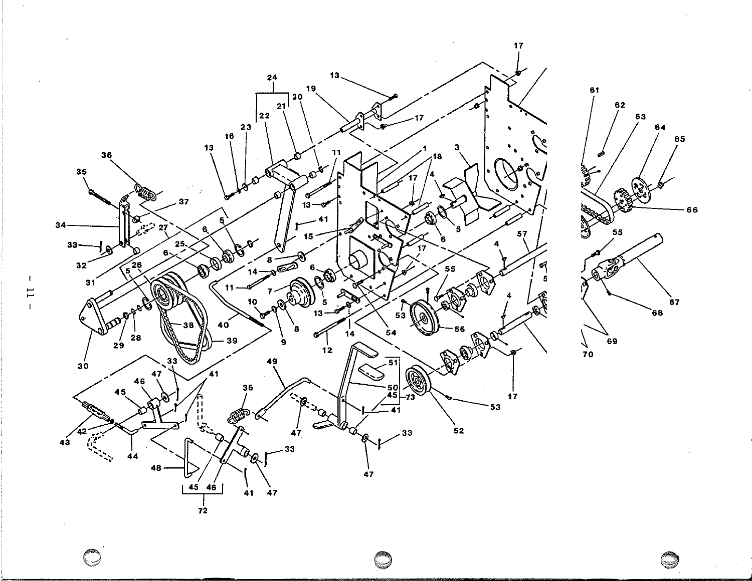

 $\bigcirc$ 

 $\overline{\phantom{0}}$  $\ddot{\phantom{1}}$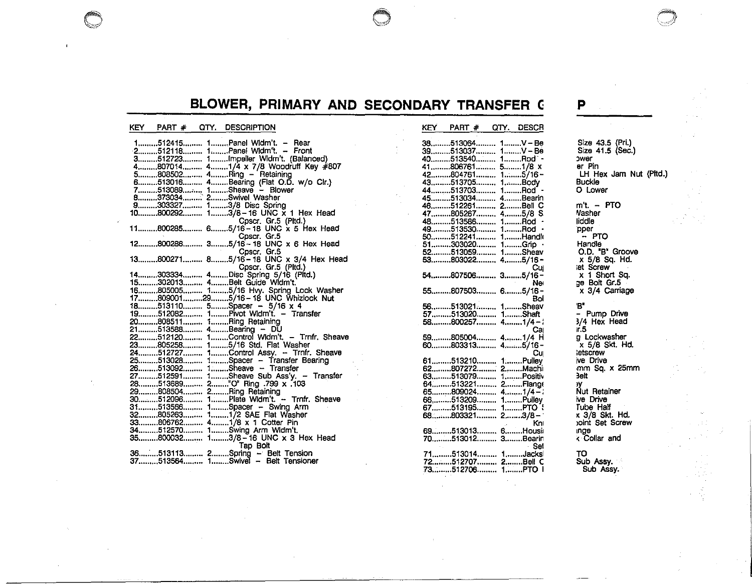# BLOWER, PRIMARY AND SECONDARY TRANSFER **C**

**000** 

#### KEY PART # OTY. DESCRIPTION

0 .""

| 1512415 1Panel Widm't. - Rear<br>2512118 1Panel Widm't. - Front                                     |
|-----------------------------------------------------------------------------------------------------|
| 3512723 1Impeller Widm't. (Balanced)                                                                |
| 4807014 41/4 x 7/8 Woodruff Key #807                                                                |
| 5808502 4Ring - Retaining                                                                           |
| 6513016 4Bearing (Flat O.D. w/o Clr.)                                                               |
|                                                                                                     |
| 7513089 1Sheave – Blower<br>8373034 2Swivel Washer<br>9303327 13/8 Disc Spring                      |
|                                                                                                     |
| 10800292 13/8 - 16 UNC x 1 Hex Head                                                                 |
| 11800285 65/16 - 18 UNC x 5 Hex Head<br>11800285 65/16 - 18 UNC x 5 Hex Head                        |
|                                                                                                     |
| Cpscr. Gr.5<br>12800286 35/16 – 18 UNC x 6 Hex Head                                                 |
|                                                                                                     |
|                                                                                                     |
|                                                                                                     |
| 14303334 4Disc Spring 5/16 (Pitd.)                                                                  |
| 15302013 4Belt Guide Widm't.                                                                        |
| 16805005 15/16 Hvy. Spring Lock Washer                                                              |
| 17809001295/16 - 18 UNC Whizlock Nut                                                                |
| 18513110 5Spacer - 5/16 x 4                                                                         |
| 19512082 1Pivot Widm't. - Transfer                                                                  |
| 20808511 1Ring Retaining<br>21513588 4Bearing - DU                                                  |
|                                                                                                     |
| 22512120 1Control Widm't. - Trnfr. Sheave                                                           |
| 23805258 15/16 Std. Flat Washer                                                                     |
| 24512727 1Control Assy. - Trnfr. Sheave                                                             |
| 25513028 1Spacer - Transfer Bearing                                                                 |
| 26513092 1Sheave - Transfer                                                                         |
| 27512591 1Sheave Sub Assy. - Transfer<br>28513689 2"O" Ring .799 x .103<br>29808504 2Ring Retaining |
|                                                                                                     |
|                                                                                                     |
| 30512096 1Plate Wldm't. - Trnfr. Sheave                                                             |
| 31513566 1Spacer - Swing Arm                                                                        |
| 32805263 11/2 SAE Flat Washer<br>33806762 41/8 x 1 Cotter Pin                                       |
|                                                                                                     |
| 34512570 1Swing Arm Widm't.                                                                         |
| 35800032 13/8-16 UNC x 3 Hex Head<br>Tap Bolt<br>36513113 2Spring - Belt Tension                    |
|                                                                                                     |
| 37513564 1Swivel - Belt Tensioner                                                                   |
|                                                                                                     |

| PART #<br>OTY.<br>KEY<br><b>DESCR</b> |                        |
|---------------------------------------|------------------------|
| 38513064 1V-Be                        | Size 43.5 (Pri.)       |
| 39513037 1V-Be                        | Size 41.5 (Sec.)       |
| 40513540 1Rod -                       | <b>OWER</b>            |
| 41806761 51/8 x                       | er Pin                 |
| 42804761 15/16-                       | LH Hex Jam Nut (Pitd.) |
| 43513705  1Body                       | <b>Buckle</b>          |
| 44513703  1Rod  -                     | <b>D</b> Lower         |
| 45513034 4Bearin                      |                        |
| 46512261 2Bell C                      | m't – PTO              |
| .47805267  45/8  S                    | Vasher                 |
| 48513586 1Rod                         | liddie                 |
| 49513530 1Rod ·                       | pper                   |
| 50512241 1Handk                       | $-$ PTO                |
| 51303020 1Grip ·                      | Handle                 |
| 52513059 1Sheav                       | O.D. "B" Groove        |
| 53803022 45/16 -                      | x 5/8 Sq. Hd.          |
| – Cui                                 | et Screw               |
| 54807506 35/16-                       | x 1 Short Sq.          |
| Ne                                    | ge Bolt Gr.5           |
| 55807503 65/16-                       | x 3/4 Carriage         |
| Bol                                   |                        |
| 56513021 1Sheav                       | B"                     |
| 57513020 1Shaft                       | - Pump Drive           |
| 58800257 41/4-1                       | 3/4 Hex Head           |
| Car                                   | r.5                    |
| 59805004 41/4 H                       | g Lockwasher           |
| 60803313 45/16 –                      | x 5/8 Skt. Hd.         |
| Cш                                    | etscrew                |
| 61513210 1Pulley                      | ve Drive               |
| 62807272 2Machil                      | mm Sq. x 25mm          |
| 63513079 1Positiv                     | elt.                   |
| 64513221 2Flange                      | ıy.                    |
| 65809024 41/4-1                       | Nut Retainer           |
| 66513209 1Pulley                      | ve Drive               |
| 67513195 1PTO {                       | <b>Tube Half</b>       |
| 68803321 23/8-                        | < 3/8 Skt. Hd.         |
| Kni<br>Kni<br>6513013 6Housir         | ioint Set Screw        |
|                                       | nge                    |
| 70513012  3Bearin                     | Collar and             |
| Set                                   |                        |
| 71513014 1Jacksl                      | то                     |
| 72512707 2Bell C                      | Sub Assy.              |
| 73512706  1PTO  I                     | Sub Assy.              |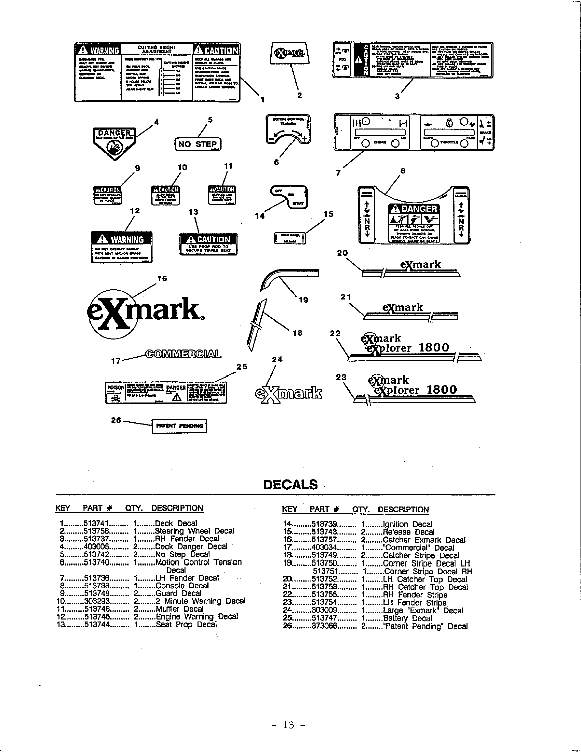

### **DECALS**

0 . .

|<br>|<br>| ~I

| KEY PART # QTY DESCRIPTION       | KEY PART # QTY. DESCRIPTION                                      |
|----------------------------------|------------------------------------------------------------------|
| 1513741 1Deck Decal              | 14513739 1Ignition Decal                                         |
| 2513756 1Steering Wheel Decal    | 15513743 2 Release Decal                                         |
| 3513737 1RH Fender Decal         | 16513757 2Catcher Exmark Decal                                   |
| 4403005 2Deck Danger Decal       | 17403034 1"Commercial" Decal                                     |
| 5513742 2No Step Decal           | 18513749 2Catcher Stripe Decal                                   |
| 6513740 1Motion Control Tension  | 19513750 1Corner Stripe Decal LH                                 |
| Decal                            | 513751 1Corner Stripe Decal RH                                   |
| 7513736 1LH Fender Decal         |                                                                  |
| 8513738 1Console Decal           | 20513752 1LH Catcher Top Decal<br>21513753 1RH Catcher Top Decal |
| 9513748 2Guard Decal             | 22513755 1RH Fender Stripe                                       |
| 10303293 22 Minute Warning Decal | 23513754 1LH Fender Stripe                                       |
| 11513746 2Muffler Decal          | 24303009 1Large "Exmark" Decal                                   |
| 12513745 2Engine Warning Decal   | 25513747 1Battery Decal                                          |
| 13513744 1Seat Prop Decal        | 26373066 2 "Patent Pending" Decal                                |